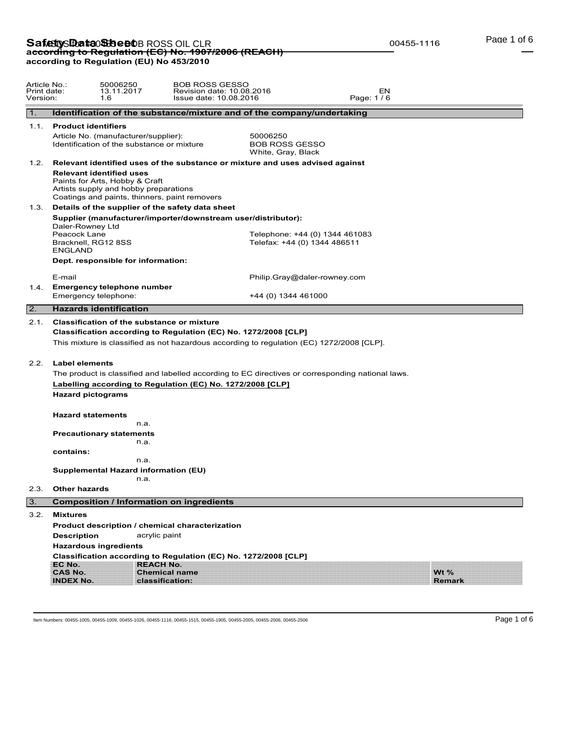# **Safetty Data Sheet** BROSS OIL CLR<br>ac<del>cording to Regulation (EC) No. 1907/2006 (REACH)</del> **according to Regulation (EU) No 453/2010**

| Article No.:<br>Print date:<br>Version: |                                       | 50006250<br>13.11.2017<br>1.6                                                                                                                               | <b>BOB ROSS GESSO</b><br>Revision date: 10.08.2016<br>Issue date: 10.08.2016                                                                                                                                                                                                                                                    |                                                         |                                | EN<br>Page: 1/6 |               |  |
|-----------------------------------------|---------------------------------------|-------------------------------------------------------------------------------------------------------------------------------------------------------------|---------------------------------------------------------------------------------------------------------------------------------------------------------------------------------------------------------------------------------------------------------------------------------------------------------------------------------|---------------------------------------------------------|--------------------------------|-----------------|---------------|--|
| 1.                                      |                                       |                                                                                                                                                             | Identification of the substance/mixture and of the company/undertaking                                                                                                                                                                                                                                                          |                                                         |                                |                 |               |  |
| 1.1.                                    | <b>Product identifiers</b>            |                                                                                                                                                             |                                                                                                                                                                                                                                                                                                                                 |                                                         |                                |                 |               |  |
|                                         |                                       | Article No. (manufacturer/supplier):<br>Identification of the substance or mixture                                                                          |                                                                                                                                                                                                                                                                                                                                 | 50006250<br><b>BOB ROSS GESSO</b><br>White, Gray, Black |                                |                 |               |  |
|                                         |                                       |                                                                                                                                                             | 1.2. Relevant identified uses of the substance or mixture and uses advised against                                                                                                                                                                                                                                              |                                                         |                                |                 |               |  |
|                                         |                                       | <b>Relevant identified uses</b><br>Paints for Arts, Hobby & Craft<br>Artists supply and hobby preparations<br>Coatings and paints, thinners, paint removers |                                                                                                                                                                                                                                                                                                                                 |                                                         |                                |                 |               |  |
|                                         |                                       |                                                                                                                                                             | 1.3. Details of the supplier of the safety data sheet                                                                                                                                                                                                                                                                           |                                                         |                                |                 |               |  |
|                                         | Daler-Rowney Ltd                      |                                                                                                                                                             | Supplier (manufacturer/importer/downstream user/distributor):                                                                                                                                                                                                                                                                   |                                                         |                                |                 |               |  |
|                                         | Peacock Lane<br><b>ENGLAND</b>        | Bracknell, RG12 8SS                                                                                                                                         |                                                                                                                                                                                                                                                                                                                                 | Telefax: +44 (0) 1344 486511                            | Telephone: +44 (0) 1344 461083 |                 |               |  |
|                                         |                                       | Dept. responsible for information:                                                                                                                          |                                                                                                                                                                                                                                                                                                                                 |                                                         |                                |                 |               |  |
|                                         | E-mail                                |                                                                                                                                                             |                                                                                                                                                                                                                                                                                                                                 |                                                         | Philip.Gray@daler-rowney.com   |                 |               |  |
|                                         |                                       | 1.4. Emergency telephone number<br>Emergency telephone:                                                                                                     |                                                                                                                                                                                                                                                                                                                                 | +44 (0) 1344 461000                                     |                                |                 |               |  |
| 2.                                      |                                       | <b>Hazards identification</b>                                                                                                                               |                                                                                                                                                                                                                                                                                                                                 |                                                         |                                |                 |               |  |
| 2.2.                                    | <b>Label elements</b>                 |                                                                                                                                                             | Classification according to Regulation (EC) No. 1272/2008 [CLP]<br>This mixture is classified as not hazardous according to regulation (EC) 1272/2008 [CLP].<br>The product is classified and labelled according to EC directives or corresponding national laws.<br>Labelling according to Regulation (EC) No. 1272/2008 [CLP] |                                                         |                                |                 |               |  |
|                                         | <b>Hazard pictograms</b>              |                                                                                                                                                             |                                                                                                                                                                                                                                                                                                                                 |                                                         |                                |                 |               |  |
|                                         | <b>Hazard statements</b><br>contains: | n.a.<br><b>Precautionary statements</b><br>n.a.                                                                                                             |                                                                                                                                                                                                                                                                                                                                 |                                                         |                                |                 |               |  |
|                                         |                                       | n.a.                                                                                                                                                        |                                                                                                                                                                                                                                                                                                                                 |                                                         |                                |                 |               |  |
|                                         |                                       | Supplemental Hazard information (EU)<br>n.a.                                                                                                                |                                                                                                                                                                                                                                                                                                                                 |                                                         |                                |                 |               |  |
| 2.3.                                    | <b>Other hazards</b>                  |                                                                                                                                                             |                                                                                                                                                                                                                                                                                                                                 |                                                         |                                |                 |               |  |
| 3.                                      |                                       |                                                                                                                                                             | <b>Composition / Information on ingredients</b>                                                                                                                                                                                                                                                                                 |                                                         |                                |                 |               |  |
| 3.2.                                    | <b>Mixtures</b>                       |                                                                                                                                                             |                                                                                                                                                                                                                                                                                                                                 |                                                         |                                |                 |               |  |
|                                         |                                       |                                                                                                                                                             | Product description / chemical characterization                                                                                                                                                                                                                                                                                 |                                                         |                                |                 |               |  |
|                                         | <b>Description</b>                    |                                                                                                                                                             | acrylic paint                                                                                                                                                                                                                                                                                                                   |                                                         |                                |                 |               |  |
|                                         | EC No.<br><b>CAS No.</b>              | <b>Hazardous ingredients</b>                                                                                                                                | Classification according to Regulation (EC) No. 1272/2008 [CLP]<br><b>REACH No.</b><br><b>Chemical name</b>                                                                                                                                                                                                                     |                                                         |                                |                 | Wt $%$        |  |
|                                         | <b>INDEX No.</b>                      |                                                                                                                                                             | classification:                                                                                                                                                                                                                                                                                                                 |                                                         |                                |                 | <b>Remark</b> |  |

Page 1 of 6

00455-1116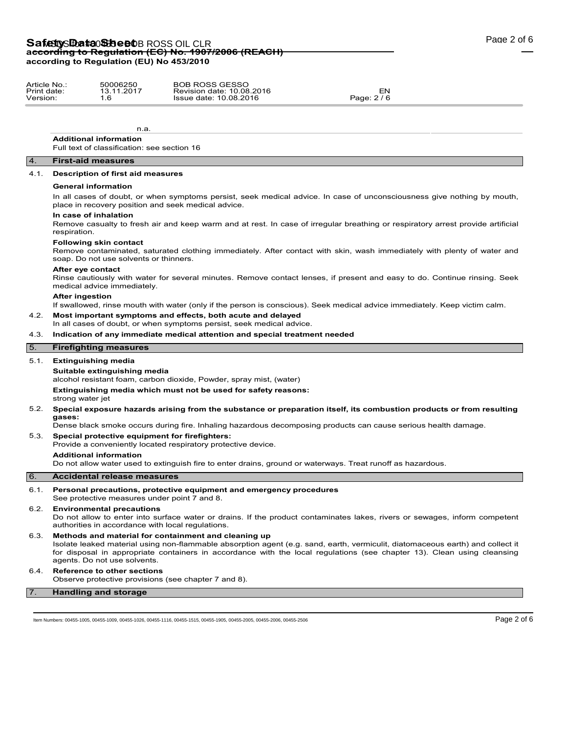## Safety S**Data Sheet** BROSS OIL CLR **according to Regulation (EC) No. 1907/2006 (REACH) according to Regulation (EU) No 453/2010**

| Article No  | 50006250   | <b>BOB ROSS GESSO</b>     |           |
|-------------|------------|---------------------------|-----------|
| Print date: | 13.11.2017 | Revision date: 10.08.2016 | ΞN.       |
| Version:    |            | Issue date: 10.08.2016    | Page: 2/6 |

n.a. **Additional information**

Full text of classification: see section 16

## 4. **First-aid measures**

#### 4.1. **Description of first aid measures**

#### **General information**

In all cases of doubt, or when symptoms persist, seek medical advice. In case of unconsciousness give nothing by mouth, place in recovery position and seek medical advice.

#### **In case of inhalation**

Remove casualty to fresh air and keep warm and at rest. In case of irregular breathing or respiratory arrest provide artificial respiration.

#### **Following skin contact**

Remove contaminated, saturated clothing immediately. After contact with skin, wash immediately with plenty of water and soap. Do not use solvents or thinners.

#### **After eye contact**

Rinse cautiously with water for several minutes. Remove contact lenses, if present and easy to do. Continue rinsing. Seek medical advice immediately.

#### **After ingestion**

If swallowed, rinse mouth with water (only if the person is conscious). Seek medical advice immediately. Keep victim calm.

- 4.2. **Most important symptoms and effects, both acute and delayed**
	- In all cases of doubt, or when symptoms persist, seek medical advice.

## 4.3. **Indication of any immediate medical attention and special treatment needed**

## 5. **Firefighting measures**

#### 5.1. **Extinguishing media**

### **Suitable extinguishing media**

alcohol resistant foam, carbon dioxide, Powder, spray mist, (water)

**Extinguishing media which must not be used for safety reasons:**

strong water jet

#### 5.2. **Special exposure hazards arising from the substance or preparation itself, its combustion products or from resulting gases:**

Dense black smoke occurs during fire. Inhaling hazardous decomposing products can cause serious health damage.

## 5.3. **Special protective equipment for firefighters:**

Provide a conveniently located respiratory protective device.

**Additional information**

Do not allow water used to extinguish fire to enter drains, ground or waterways. Treat runoff as hazardous.

## 6. **Accidental release measures**

6.1. **Personal precautions, protective equipment and emergency procedures**

See protective measures under point 7 and 8.

## 6.2. **Environmental precautions**

Do not allow to enter into surface water or drains. If the product contaminates lakes, rivers or sewages, inform competent authorities in accordance with local regulations.

#### 6.3. **Methods and material for containment and cleaning up**

Isolate leaked material using non-flammable absorption agent (e.g. sand, earth, vermiculit, diatomaceous earth) and collect it for disposal in appropriate containers in accordance with the local regulations (see chapter 13). Clean using cleansing agents. Do not use solvents.

#### 6.4. **Reference to other sections**

Observe protective provisions (see chapter 7 and 8).

#### 7. **Handling and storage**

Item Numbers: 00455-1005, 00455-1009, 00455-1026, 00455-1116, 00455-1515, 00455-1905, 00455-2005, 00455-2006, 00455-2506 Page 2 of 6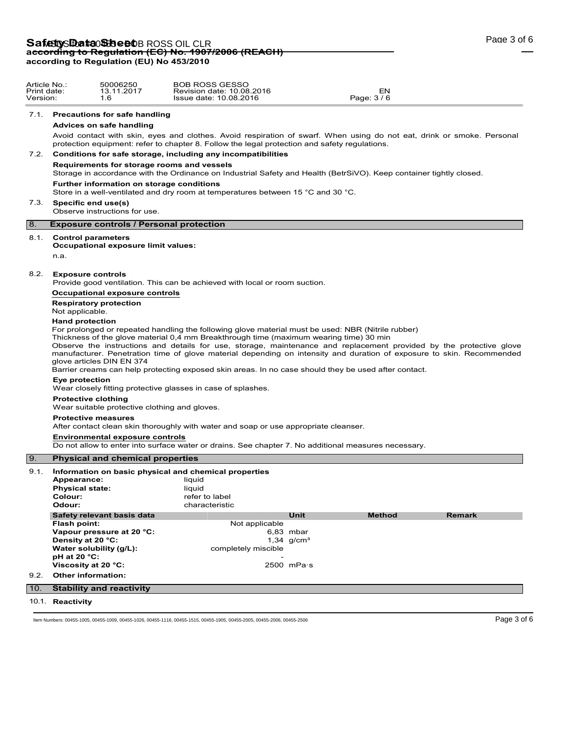# **Safetty Data Sheet** BROSS OIL CLR<br>ac<del>cording to Regulation (EC) No. 1907/2006 (REACH)</del> **according to Regulation (EU) No 453/2010**

Article No.: 50006250 Print date: 13.11.2017 Version: 1.6

|      | 7.1. Precautions for safe handling                                                                                                                                                                                                                                                                                                                                                                                                                                                                                                                                                                          |                                                      |                              |               |               |
|------|-------------------------------------------------------------------------------------------------------------------------------------------------------------------------------------------------------------------------------------------------------------------------------------------------------------------------------------------------------------------------------------------------------------------------------------------------------------------------------------------------------------------------------------------------------------------------------------------------------------|------------------------------------------------------|------------------------------|---------------|---------------|
|      | <b>Advices on safe handling</b>                                                                                                                                                                                                                                                                                                                                                                                                                                                                                                                                                                             |                                                      |                              |               |               |
|      | Avoid contact with skin, eyes and clothes. Avoid respiration of swarf. When using do not eat, drink or smoke. Personal<br>protection equipment: refer to chapter 8. Follow the legal protection and safety regulations.                                                                                                                                                                                                                                                                                                                                                                                     |                                                      |                              |               |               |
| 7.2. | Conditions for safe storage, including any incompatibilities                                                                                                                                                                                                                                                                                                                                                                                                                                                                                                                                                |                                                      |                              |               |               |
|      | Requirements for storage rooms and vessels<br>Storage in accordance with the Ordinance on Industrial Safety and Health (BetrSiVO). Keep container tightly closed.                                                                                                                                                                                                                                                                                                                                                                                                                                           |                                                      |                              |               |               |
|      | Further information on storage conditions<br>Store in a well-ventilated and dry room at temperatures between 15 °C and 30 °C.                                                                                                                                                                                                                                                                                                                                                                                                                                                                               |                                                      |                              |               |               |
| 7.3. | Specific end use(s)<br>Observe instructions for use.                                                                                                                                                                                                                                                                                                                                                                                                                                                                                                                                                        |                                                      |                              |               |               |
| 8.   | <b>Exposure controls / Personal protection</b>                                                                                                                                                                                                                                                                                                                                                                                                                                                                                                                                                              |                                                      |                              |               |               |
| 8.1. | <b>Control parameters</b><br>Occupational exposure limit values:<br>n.a.                                                                                                                                                                                                                                                                                                                                                                                                                                                                                                                                    |                                                      |                              |               |               |
|      |                                                                                                                                                                                                                                                                                                                                                                                                                                                                                                                                                                                                             |                                                      |                              |               |               |
| 8.2. | <b>Exposure controls</b><br>Provide good ventilation. This can be achieved with local or room suction.                                                                                                                                                                                                                                                                                                                                                                                                                                                                                                      |                                                      |                              |               |               |
|      | Occupational exposure controls                                                                                                                                                                                                                                                                                                                                                                                                                                                                                                                                                                              |                                                      |                              |               |               |
|      | <b>Respiratory protection</b><br>Not applicable.                                                                                                                                                                                                                                                                                                                                                                                                                                                                                                                                                            |                                                      |                              |               |               |
|      | <b>Hand protection</b><br>For prolonged or repeated handling the following glove material must be used: NBR (Nitrile rubber)<br>Thickness of the glove material 0,4 mm Breakthrough time (maximum wearing time) 30 min<br>Observe the instructions and details for use, storage, maintenance and replacement provided by the protective glove<br>manufacturer. Penetration time of glove material depending on intensity and duration of exposure to skin. Recommended<br>glove articles DIN EN 374<br>Barrier creams can help protecting exposed skin areas. In no case should they be used after contact. |                                                      |                              |               |               |
|      | Eye protection<br>Wear closely fitting protective glasses in case of splashes.                                                                                                                                                                                                                                                                                                                                                                                                                                                                                                                              |                                                      |                              |               |               |
|      | <b>Protective clothing</b><br>Wear suitable protective clothing and gloves.                                                                                                                                                                                                                                                                                                                                                                                                                                                                                                                                 |                                                      |                              |               |               |
|      | <b>Protective measures</b><br>After contact clean skin thoroughly with water and soap or use appropriate cleanser.                                                                                                                                                                                                                                                                                                                                                                                                                                                                                          |                                                      |                              |               |               |
|      | <b>Environmental exposure controls</b><br>Do not allow to enter into surface water or drains. See chapter 7. No additional measures necessary.                                                                                                                                                                                                                                                                                                                                                                                                                                                              |                                                      |                              |               |               |
| l 9. | <b>Physical and chemical properties</b>                                                                                                                                                                                                                                                                                                                                                                                                                                                                                                                                                                     |                                                      |                              |               |               |
| 9.1. | Information on basic physical and chemical properties<br>Appearance:<br><b>Physical state:</b><br>Colour:<br>Odour:                                                                                                                                                                                                                                                                                                                                                                                                                                                                                         | liquid<br>liquid<br>refer to label<br>characteristic |                              |               |               |
|      | Safety relevant basis data                                                                                                                                                                                                                                                                                                                                                                                                                                                                                                                                                                                  |                                                      | Unit                         | <b>Method</b> | <b>Remark</b> |
|      | Flash point:                                                                                                                                                                                                                                                                                                                                                                                                                                                                                                                                                                                                | Not applicable                                       |                              |               |               |
|      | Vapour pressure at 20 °C:<br>Density at 20 °C:                                                                                                                                                                                                                                                                                                                                                                                                                                                                                                                                                              |                                                      | 6,83 mbar<br>1,34 $q/cm^{3}$ |               |               |
|      | Water solubility (g/L):                                                                                                                                                                                                                                                                                                                                                                                                                                                                                                                                                                                     | completely miscible                                  |                              |               |               |
|      | pH at 20 °C:                                                                                                                                                                                                                                                                                                                                                                                                                                                                                                                                                                                                |                                                      |                              |               |               |
|      | Viscosity at 20 °C:                                                                                                                                                                                                                                                                                                                                                                                                                                                                                                                                                                                         |                                                      | $2500$ mPa $\cdot$ s         |               |               |
| 9.2. | <b>Other information:</b>                                                                                                                                                                                                                                                                                                                                                                                                                                                                                                                                                                                   |                                                      |                              |               |               |
| 10.  | <b>Stability and reactivity</b>                                                                                                                                                                                                                                                                                                                                                                                                                                                                                                                                                                             |                                                      |                              |               |               |
|      | 10.1. Reactivity                                                                                                                                                                                                                                                                                                                                                                                                                                                                                                                                                                                            |                                                      |                              |               |               |
|      | Item Numbers: 00455-1005, 00455-1009, 00455-1026, 00455-1116, 00455-1515, 00455-1905, 00455-2005, 00455-2006, 00455-2506                                                                                                                                                                                                                                                                                                                                                                                                                                                                                    |                                                      |                              |               | Page 3 of 6   |
|      |                                                                                                                                                                                                                                                                                                                                                                                                                                                                                                                                                                                                             |                                                      |                              |               |               |
|      |                                                                                                                                                                                                                                                                                                                                                                                                                                                                                                                                                                                                             |                                                      |                              |               |               |
|      |                                                                                                                                                                                                                                                                                                                                                                                                                                                                                                                                                                                                             |                                                      |                              |               |               |

BOB ROSS GESSO Revision date: 10.08.2016 EN Issue date: 10.08.2016 Page: 3 / 6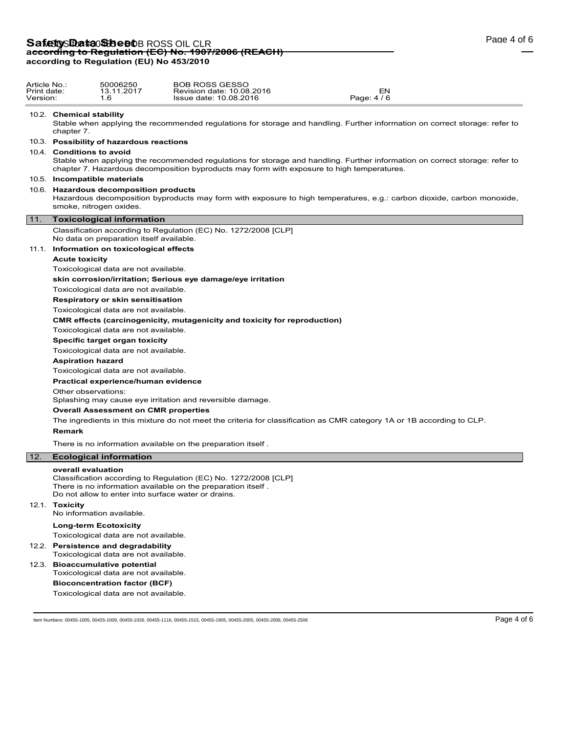## Safety S**Data Sheet** BROSS OIL CLR **according to Regulation (EC) No. 1907/2006 (REACH) according to Regulation (EU) No 453/2010**

#### 10.2. **Chemical stability**

Stable when applying the recommended regulations for storage and handling. Further information on correct storage: refer to chapter 7.

## 10.3. **Possibility of hazardous reactions**

## 10.4. **Conditions to avoid**

Stable when applying the recommended regulations for storage and handling. Further information on correct storage: refer to chapter 7. Hazardous decomposition byproducts may form with exposure to high temperatures.

## 10.5. **Incompatible materials**

#### 10.6. **Hazardous decomposition products**

Hazardous decomposition byproducts may form with exposure to high temperatures, e.g.: carbon dioxide, carbon monoxide, smoke, nitrogen oxides.

#### 11. **Toxicological information**

Classification according to Regulation (EC) No. 1272/2008 [CLP] No data on preparation itself available.

#### 11.1. **Information on toxicological effects**

## **Acute toxicity**

Toxicological data are not available.

**skin corrosion/irritation; Serious eye damage/eye irritation**

## Toxicological data are not available.

**Respiratory or skin sensitisation**

Toxicological data are not available.

**CMR effects (carcinogenicity, mutagenicity and toxicity for reproduction)**

Toxicological data are not available.

**Specific target organ toxicity**

Toxicological data are not available.

#### **Aspiration hazard**

Toxicological data are not available.

**Practical experience/human evidence**

Other observations:

Splashing may cause eye irritation and reversible damage.

## **Overall Assessment on CMR properties**

The ingredients in this mixture do not meet the criteria for classification as CMR category 1A or 1B according to CLP.

#### **Remark**

There is no information available on the preparation itself .

## 12. **Ecological information**

## **overall evaluation**

Classification according to Regulation (EC) No. 1272/2008 [CLP] There is no information available on the preparation itself . Do not allow to enter into surface water or drains.

#### 12.1. **Toxicity**

No information available.

#### **Long-term Ecotoxicity**

Toxicological data are not available.

12.2. **Persistence and degradability**

Toxicological data are not available.

12.3. **Bioaccumulative potential** Toxicological data are not available. **Bioconcentration factor (BCF)** Toxicological data are not available.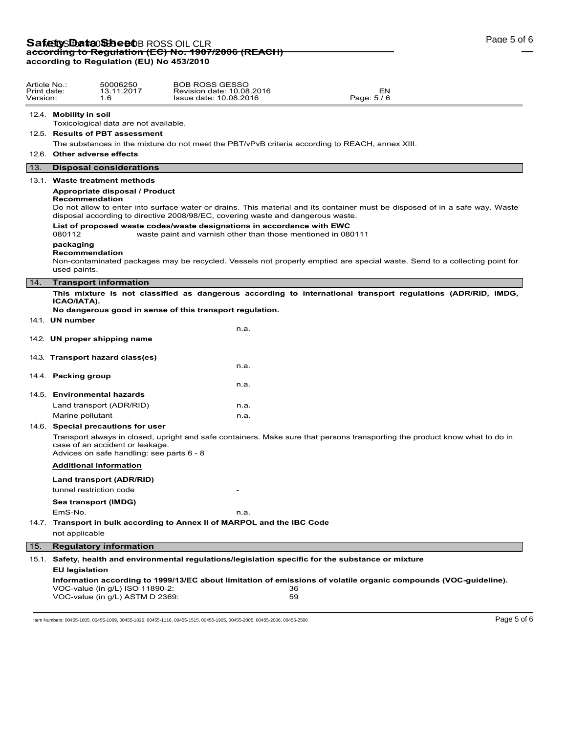# **Safetty Data Sheet** BROSS OIL CLR<br>ac<del>cording to Regulation (EC) No. 1907/2006 (REACH)</del> **according to Regulation (EU) No 453/2010**

| Article No.:<br>Print date:<br>Version: |                        | 50006250<br>13.11.2017<br>1.6                                                | <b>BOB ROSS GESSO</b><br>Revision date: 10.08.2016<br>EΝ<br>Page: 5/6<br>Issue date: 10.08.2016                              |  |
|-----------------------------------------|------------------------|------------------------------------------------------------------------------|------------------------------------------------------------------------------------------------------------------------------|--|
|                                         | 12.4. Mobility in soil | Toxicological data are not available.                                        |                                                                                                                              |  |
|                                         |                        | 12.5. Results of PBT assessment                                              |                                                                                                                              |  |
|                                         |                        |                                                                              | The substances in the mixture do not meet the PBT/vPvB criteria according to REACH, annex XIII.                              |  |
|                                         |                        | 12.6. Other adverse effects                                                  |                                                                                                                              |  |
| 13.                                     |                        | <b>Disposal considerations</b>                                               |                                                                                                                              |  |
|                                         |                        | 13.1. Waste treatment methods                                                |                                                                                                                              |  |
|                                         |                        | Appropriate disposal / Product                                               |                                                                                                                              |  |
|                                         |                        | Recommendation                                                               | Do not allow to enter into surface water or drains. This material and its container must be disposed of in a safe way. Waste |  |
|                                         |                        |                                                                              | disposal according to directive 2008/98/EC, covering waste and dangerous waste.                                              |  |
|                                         |                        |                                                                              | List of proposed waste codes/waste designations in accordance with EWC                                                       |  |
|                                         | 080112                 |                                                                              | waste paint and varnish other than those mentioned in 080111                                                                 |  |
|                                         | packaging              | Recommendation                                                               |                                                                                                                              |  |
|                                         |                        |                                                                              | Non-contaminated packages may be recycled. Vessels not properly emptied are special waste. Send to a collecting point for    |  |
|                                         | used paints.           |                                                                              |                                                                                                                              |  |
| 14.                                     |                        | <b>Transport information</b>                                                 |                                                                                                                              |  |
|                                         | ICAO/IATA).            |                                                                              | This mixture is not classified as dangerous according to international transport regulations (ADR/RID, IMDG,                 |  |
|                                         |                        |                                                                              | No dangerous good in sense of this transport regulation.                                                                     |  |
|                                         | 14.1. UN number        |                                                                              |                                                                                                                              |  |
|                                         |                        |                                                                              | n.a.                                                                                                                         |  |
|                                         |                        | 14.2. UN proper shipping name                                                |                                                                                                                              |  |
|                                         |                        | 14.3. Transport hazard class(es)                                             |                                                                                                                              |  |
|                                         |                        |                                                                              | n.a.                                                                                                                         |  |
|                                         | 14.4. Packing group    |                                                                              |                                                                                                                              |  |
|                                         |                        |                                                                              | n.a.                                                                                                                         |  |
|                                         |                        | 14.5. Environmental hazards                                                  |                                                                                                                              |  |
|                                         |                        | Land transport (ADR/RID)                                                     | n.a.                                                                                                                         |  |
|                                         | Marine pollutant       |                                                                              | n.a.                                                                                                                         |  |
|                                         |                        | 14.6. Special precautions for user                                           |                                                                                                                              |  |
|                                         |                        | case of an accident or leakage.<br>Advices on safe handling: see parts 6 - 8 | Transport always in closed, upright and safe containers. Make sure that persons transporting the product know what to do in  |  |
|                                         |                        | <b>Additional information</b>                                                |                                                                                                                              |  |
|                                         |                        | Land transport (ADR/RID)                                                     |                                                                                                                              |  |
|                                         |                        | tunnel restriction code                                                      |                                                                                                                              |  |
|                                         |                        | Sea transport (IMDG)                                                         |                                                                                                                              |  |
|                                         | EmS-No.                |                                                                              | n.a.                                                                                                                         |  |
|                                         |                        |                                                                              | 14.7. Transport in bulk according to Annex II of MARPOL and the IBC Code                                                     |  |
|                                         | not applicable         |                                                                              |                                                                                                                              |  |
| 15.                                     |                        | <b>Regulatory information</b>                                                |                                                                                                                              |  |
|                                         |                        |                                                                              | 15.1. Safety, health and environmental regulations/legislation specific for the substance or mixture                         |  |
|                                         | <b>EU legislation</b>  |                                                                              |                                                                                                                              |  |
|                                         |                        | VOC-value (in q/L) ISO 11890-2:<br>VOC-value (in g/L) ASTM D 2369:           | Information according to 1999/13/EC about limitation of emissions of volatile organic compounds (VOC-guideline).<br>36<br>59 |  |

Item Numbers: 00455-1005, 00455-1009, 00455-1026, 00455-1116, 00455-1515, 00455-1905, 00455-2006, 00455-2006, 00455-2506 Page 5 of 6